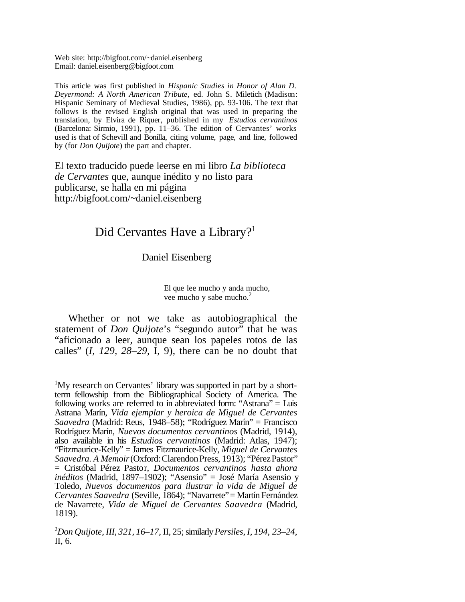Web site: http://bigfoot.com/~daniel.eisenberg Email: daniel.eisenberg@bigfoot.com

This article was first published in *Hispanic Studies in Honor of Alan D. Deyermond: A North American Tribute,* ed. John S. Miletich (Madison: Hispanic Seminary of Medieval Studies, 1986), pp. 93-106. The text that follows is the revised English original that was used in preparing the translation, by Elvira de Riquer, published in my *Estudios cervantinos* (Barcelona: Sirmio, 1991), pp. 11–36. The edition of Cervantes' works used is that of Schevill and Bonilla, citing volume, page, and line, followed by (for *Don Quijote*) the part and chapter.

El texto traducido puede leerse en mi libro *La biblioteca de Cervantes* que, aunque inédito y no listo para publicarse, se halla en mi página http://bigfoot.com/~daniel.eisenberg

## Did Cervantes Have a Library?<sup>1</sup>

## Daniel Eisenberg

El que lee mucho y anda mucho, vee mucho y sabe mucho.<sup>2</sup>

Whether or not we take as autobiographical the statement of *Don Quijote*'s "segundo autor" that he was "aficionado a leer, aunque sean los papeles rotos de las calles" (*I, 129, 28–29,* I, 9), there can be no doubt that

<sup>&</sup>lt;sup>1</sup>My research on Cervantes' library was supported in part by a shortterm fellowship from the Bibliographical Society of America. The following works are referred to in abbreviated form: "Astrana" = Luis Astrana Marín, *Vida ejemplar y heroica de Miguel de Cervantes Saavedra* (Madrid: Reus, 1948–58); "Rodríguez Marín" = Francisco Rodríguez Marín, *Nuevos documentos cervantinos* (Madrid, 1914), also available in his *Estudios cervantinos* (Madrid: Atlas, 1947); "Fitzmaurice-Kelly" = James Fitzmaurice-Kelly, *Miguel de Cervantes Saavedra. A Memoir*(Oxford:ClarendonPress, 1913); "PérezPastor" = Cristóbal Pérez Pastor, *Documentos cervantinos hasta ahora inéditos* (Madrid, 1897–1902); "Asensio" = José María Asensio y Toledo, *Nuevos documentos para ilustrar la vida de Miguel de Cervantes Saavedra* (Seville, 1864); "Navarrete"= Martín Fernández de Navarrete, *Vida de Miguel de Cervantes Saavedra* (Madrid, 1819).

<sup>2</sup>*Don Quijote, III, 321, 16–17,* II, 25;similarly*Persiles*, *I, 194, 23–24,* II, 6.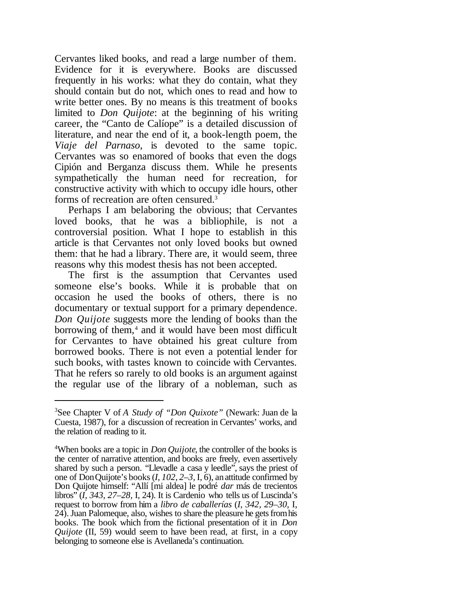Cervantes liked books, and read a large number of them. Evidence for it is everywhere. Books are discussed frequently in his works: what they do contain, what they should contain but do not, which ones to read and how to write better ones. By no means is this treatment of books limited to *Don Quijote*: at the beginning of his writing career, the "Canto de Calíope" is a detailed discussion of literature, and near the end of it, a book-length poem, the *Viaje del Parnaso*, is devoted to the same topic. Cervantes was so enamored of books that even the dogs Cipión and Berganza discuss them. While he presents sympathetically the human need for recreation, for constructive activity with which to occupy idle hours, other forms of recreation are often censured.<sup>3</sup>

Perhaps I am belaboring the obvious; that Cervantes loved books, that he was a bibliophile, is not a controversial position. What I hope to establish in this article is that Cervantes not only loved books but owned them: that he had a library. There are, it would seem, three reasons why this modest thesis has not been accepted.

The first is the assumption that Cervantes used someone else's books. While it is probable that on occasion he used the books of others, there is no documentary or textual support for a primary dependence. *Don Quijote* suggests more the lending of books than the borrowing of them,<sup>4</sup> and it would have been most difficult for Cervantes to have obtained his great culture from borrowed books. There is not even a potential lender for such books, with tastes known to coincide with Cervantes. That he refers so rarely to old books is an argument against the regular use of the library of a nobleman, such as

<sup>3</sup>See Chapter V of *A Study of "Don Quixote"* (Newark: Juan de la Cuesta, 1987), for a discussion of recreation in Cervantes' works, and the relation of reading to it.

<sup>4</sup>When books are a topic in *Don Quijote*, the controller of the books is the center of narrative attention, and books are freely, even assertively shared by such a person. "Llevadle a casa y leedle", says the priest of one of DonQuijote's books(*I, 102, 2–3,* I, 6), anattitude confirmed by Don Quijote himself: "Allí [mi aldea] le podré *dar* más de trecientos libros" (*I, 343, 27–28,* I, 24). It is Cardenio who tells us of Luscinda's request to borrow from him a *libro de caballerías* (*I, 342, 29–30,* I, 24). Juan Palomeque, also, wishes to share the pleasure he gets from his books. The book which from the fictional presentation of it in *Don Quijote* (II, 59) would seem to have been read, at first, in a copy belonging to someone else is Avellaneda's continuation.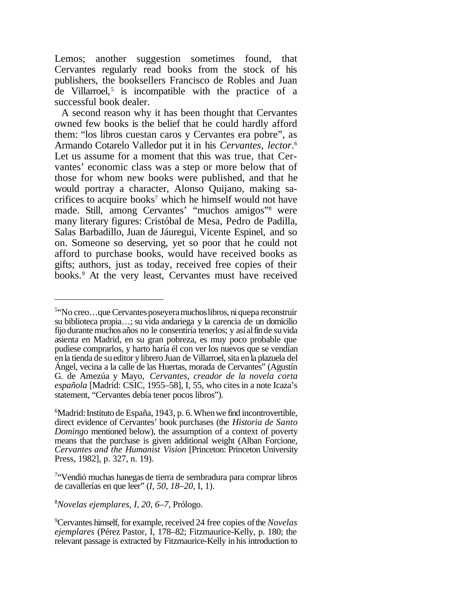Lemos; another suggestion sometimes found, that Cervantes regularly read books from the stock of his publishers, the booksellers Francisco de Robles and Juan de Villarroel, $5$  is incompatible with the practice of a successful book dealer.

 A second reason why it has been thought that Cervantes owned few books is the belief that he could hardly afford them: "los libros cuestan caros y Cervantes era pobre", as Armando Cotarelo Valledor put it in his *Cervantes, lector*. 6 Let us assume for a moment that this was true, that Cervantes' economic class was a step or more below that of those for whom new books were published, and that he would portray a character, Alonso Quijano, making sacrifices to acquire books<sup>7</sup> which he himself would not have made. Still, among Cervantes' "muchos amigos"<sup>8</sup> were many literary figures: Cristóbal de Mesa, Pedro de Padilla, Salas Barbadillo, Juan de Jáuregui, Vicente Espinel, and so on. Someone so deserving, yet so poor that he could not afford to purchase books, would have received books as gifts; authors, just as today, received free copies of their books.<sup>9</sup> At the very least, Cervantes must have received

<sup>8</sup>*Novelas ejemplares*, *I, 20, 6–7*, Prólogo.

<sup>&</sup>lt;sup>5</sup>"No creo...que Cervantes poseyera muchos libros, ni quepa reconstruir su biblioteca propia…; su vida andariega y la carencia de un domicilio fijo durante muchos años no le consentiría tenerlos; y asíalfinde suvida asienta en Madrid, en su gran pobreza, es muy poco probable que pudiese comprarlos, y harto haría él con ver los nuevos que se vendían enla tienda de sueditor ylibrero Juan de Villarroel, sita enla plazuela del Ángel, vecina a la calle de las Huertas, morada de Cervantes" (Agustín G. de Amezúa y Mayo, *Cervantes, creador de la novela corta española* [Madrid: CSIC, 1955–58], I, 55, who citesin a note Icaza's statement, "Cervantes debía tener pocos libros").

<sup>&</sup>lt;sup>6</sup>Madrid: Instituto de España, 1943, p. 6. When we find incontrovertible, direct evidence of Cervantes' book purchases (the *Historia de Santo Domingo* mentioned below), the assumption of a context of poverty means that the purchase is given additional weight (Alban Forcione, *Cervantes and the Humanist Vision* [Princeton: Princeton University Press, 1982], p. 327, n. 19).

<sup>7</sup> "Vendió muchas hanegas de tierra de sembradura para comprar libros de cavallerías en que leer" (*I, 50, 18–20,* I, 1).

<sup>&</sup>lt;sup>9</sup>Cervantes himself, for example, received 24 free copies of the *Novelas ejemplares* (Pérez Pastor, I, 178–82; Fitzmaurice-Kelly, p. 180; the relevant passage is extracted by Fitzmaurice-Kelly in his introduction to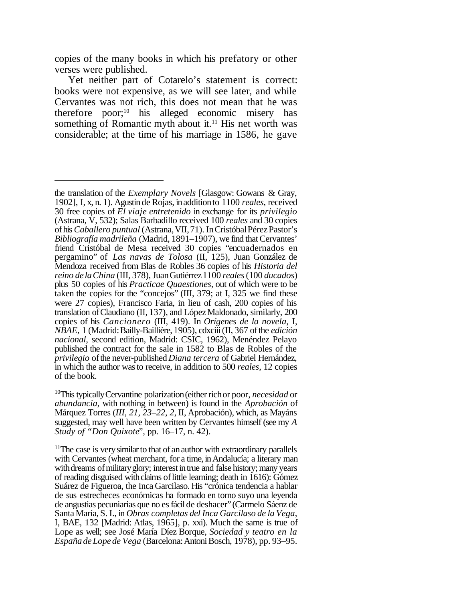copies of the many books in which his prefatory or other verses were published.

Yet neither part of Cotarelo's statement is correct: books were not expensive, as we will see later, and while Cervantes was not rich, this does not mean that he was therefore poor; $^{10}$  his alleged economic misery has something of Romantic myth about it.<sup>11</sup> His net worth was considerable; at the time of his marriage in 1586, he gave

the translation of the *Exemplary Novels* [Glasgow: Gowans & Gray, 1902], I, x, n. 1). Agustín de Rojas, inadditionto 1100 *reales*, received 30 free copies of *El viaje entretenido* in exchange for its *privilegio* (Astrana, V, 532); Salas Barbadillo received 100 *reales* and 30 copies ofhis *Caballero puntual* (Astrana,VII,71). InCristóbalPérezPastor's *Bibliografía madrileña* (Madrid, 1891–1907), we find that Cervantes' friend Cristóbal de Mesa received 30 copies "encuadernados en pergamino" of *Las navas de Tolosa* (II, 125), Juan González de Mendoza received from Blas de Robles 36 copies of his *Historia del reino de laChina* (III, 378),JuanGutiérrez1100 *reales*(100 *ducados*) plus 50 copies of his *Practicae Quaestiones*, out of which were to be taken the copies for the "concejos" (III, 379; at I, 325 we find these were 27 copies), Francisco Faria, in lieu of cash, 200 copies of his translation ofClaudiano (II, 137), and LópezMaldonado, similarly, 200 copies of his *Cancionero* (III, 419). In *Orígenes de la novela*, I, *NBAE*, 1 (Madrid:Bailly-Baillière, 1905), cdxciii(II, 367 ofthe *edición nacional*, second edition, Madrid: CSIC, 1962), Menéndez Pelayo published the contract for the sale in 1582 to Blas de Robles of the *privilegio* ofthe never-published *Diana tercera* of Gabriel Hernández, in which the author wasto receive, in addition to 500 *reales*, 12 copies of the book.

<sup>&</sup>lt;sup>10</sup>This typically Cervantine polarization (either rich or poor, *necesidad* or *abundancia*, with nothing in between) is found in the *Aprobación* of Márquez Torres (*III, 21, 23–22, 2,* II, Aprobación), which, as Mayáns suggested, may well have been written by Cervantes himself (see my *A Study of "Don Quixote*", pp. 16–17, n. 42).

 $11$ The case is very similar to that of an author with extraordinary parallels with Cervantes (wheat merchant, for a time, in Andalucía; a literary man with dreams of military glory; interest in true and false history; many years of reading disguised with claims of little learning; death in 1616): Gómez Suárez de Figueroa, the Inca Garcilaso. His "crónica tendencia a hablar de sus estrecheces económicas ha formado en torno suyo una leyenda de angustias pecuniarias que no esfácil de deshacer"(Carmelo Sáenz de Santa María, S. I., in *Obras completas del Inca Garcilaso de la Vega*, I, BAE, 132 [Madrid: Atlas, 1965], p. xxi). Much the same is true of Lope as well; see José María Díez Borque, *Sociedad y teatro en la EspañadeLopede Vega* (Barcelona:AntoniBosch, 1978), pp. 93–95.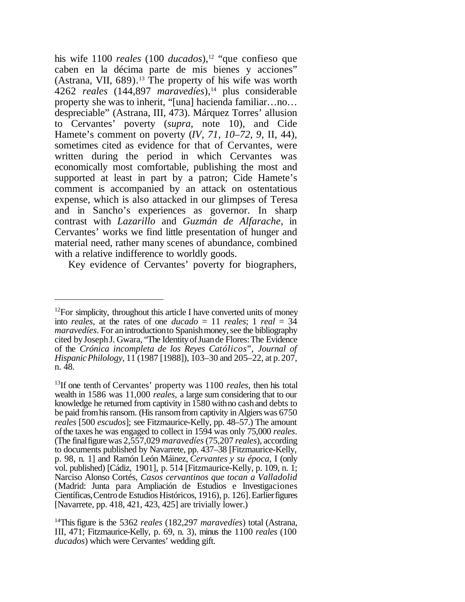his wife 1100 *reales* (100 *ducados*),<sup>12</sup> "que confieso que caben en la décima parte de mis bienes y acciones" (Astrana, VII,  $689$ ).<sup>13</sup> The property of his wife was worth 4262 *reales* (144,897 *maravedíes*),<sup>14</sup> plus considerable property she was to inherit, "[una] hacienda familiar…no… despreciable" (Astrana, III, 473). Márquez Torres' allusion to Cervantes' poverty (*supra*, note 10), and Cide Hamete's comment on poverty (*IV, 71, 10–72, 9,* II, 44), sometimes cited as evidence for that of Cervantes, were written during the period in which Cervantes was economically most comfortable, publishing the most and supported at least in part by a patron; Cide Hamete's comment is accompanied by an attack on ostentatious expense, which is also attacked in our glimpses of Teresa and in Sancho's experiences as governor. In sharp contrast with *Lazarillo* and *Guzmán de Alfarache*, in Cervantes' works we find little presentation of hunger and material need, rather many scenes of abundance, combined with a relative indifference to worldly goods.

Key evidence of Cervantes' poverty for biographers,

 $12$ For simplicity, throughout this article I have converted units of money into *reales*, at the rates of one *ducado* = 11 *reales*; 1 *real* =  $34$ *maravedíes*. For an introduction to Spanish money, see the bibliography cited byJosephJ. Gwara, "The IdentityofJuande Flores:The Evidence of the *Crónica incompleta de los Reyes Católicos*", *Journal of HispanicPhilology*, 11 (1987 [1988]), 103–30 and 205–22, at p.207, n. 48.

<sup>13</sup>If one tenth of Cervantes' property was 1100 *reales*, then his total wealth in 1586 was 11,000 *reales*, a large sum considering that to our knowledge he returned from captivity in 1580 withno cashand debts to be paid from his ransom. (His ransom from captivity in Algiers was 6750) *reales* [500 *escudos*]; see Fitzmaurice-Kelly, pp. 48–57.) The amount ofthe taxes he was engaged to collect in 1594 was only 75,000 *reales*. (The finalfigurewas 2,557,029 *maravedíes*(75,207 *reales*), according to documents published by Navarrete, pp. 437–38 [Fitzmaurice-Kelly, p. 98, n. 1] and Ramón León Máinez, *Cervantes y su época*, I (only vol. published) [Cádiz, 1901], p. 514 [Fitzmaurice-Kelly, p. 109, n. 1; Narciso Alonso Cortés, *Casos cervantinos que tocan a Valladolid* (Madrid: Junta para Ampliación de Estudios e Investigaciones Científicas,Centrode Estudios Históricos, 1916), p. 126].Earlierfigures [Navarrete, pp. 418, 421, 423, 425] are trivially lower.)

<sup>14</sup>This figure is the 5362 *reales* (182,297 *maravedíes*) total (Astrana, III, 471; Fitzmaurice-Kelly, p. 69, n. 3), minus the 1100 *reales* (100 *ducados*) which were Cervantes' wedding gift.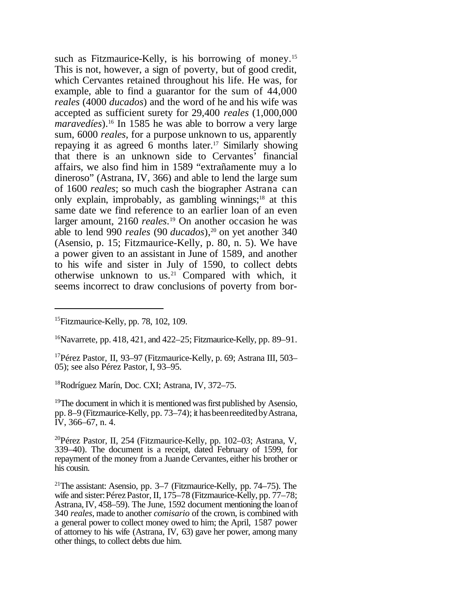such as Fitzmaurice-Kelly, is his borrowing of money.<sup>15</sup> This is not, however, a sign of poverty, but of good credit, which Cervantes retained throughout his life. He was, for example, able to find a guarantor for the sum of 44,000 *reales* (4000 *ducados*) and the word of he and his wife was accepted as sufficient surety for 29,400 *reales* (1,000,000 *maravedíes*).<sup>16</sup> In 1585 he was able to borrow a very large sum, 6000 *reales*, for a purpose unknown to us, apparently repaying it as agreed 6 months later.<sup>17</sup> Similarly showing that there is an unknown side to Cervantes' financial affairs, we also find him in 1589 "extrañamente muy a lo dineroso" (Astrana, IV, 366) and able to lend the large sum of 1600 *reales*; so much cash the biographer Astrana can only explain, improbably, as gambling winnings;<sup>18</sup> at this same date we find reference to an earlier loan of an even larger amount, 2160 *reales*. <sup>19</sup> On another occasion he was able to lend 990 *reales* (90 *ducados*),20 on yet another 340 (Asensio, p. 15; Fitzmaurice-Kelly, p. 80, n. 5). We have a power given to an assistant in June of 1589, and another to his wife and sister in July of 1590, to collect debts otherwise unknown to us.<sup>21</sup> Compared with which, it seems incorrect to draw conclusions of poverty from bor-

 $16$ Navarrete, pp. 418, 421, and 422–25; Fitzmaurice-Kelly, pp. 89–91.

<sup>18</sup>Rodríguez Marín, Doc. CXI; Astrana, IV, 372–75.

 $19$ The document in which it is mentioned was first published by Asensio, pp. 8–9 (Fitzmaurice-Kelly, pp. 73–74); it has been reedited by Astrana, IV, 366–67, n. 4.

<sup>20</sup>Pérez Pastor, II, 254 (Fitzmaurice-Kelly, pp. 102–03; Astrana, V, 339–40). The document is a receipt, dated February of 1599, for repayment of the money from a Juande Cervantes, either his brother or his cousin.

<sup>&</sup>lt;sup>15</sup>Fitzmaurice-Kelly, pp. 78, 102, 109.

<sup>17</sup>Pérez Pastor, II, 93–97 (Fitzmaurice-Kelly, p. 69; Astrana III, 503– 05); see also Pérez Pastor, I, 93–95.

<sup>&</sup>lt;sup>21</sup>The assistant: Asensio, pp. 3–7 (Fitzmaurice-Kelly, pp. 74–75). The wife and sister: Pérez Pastor, II, 175–78 (Fitzmaurice-Kelly, pp. 77–78; Astrana,IV, 458–59). The June, 1592 document mentioning the loanof 340 *reales*, made to another *comisario* of the crown, is combined with a general power to collect money owed to him; the April, 1587 power of attorney to his wife (Astrana, IV, 63) gave her power, among many other things, to collect debts due him.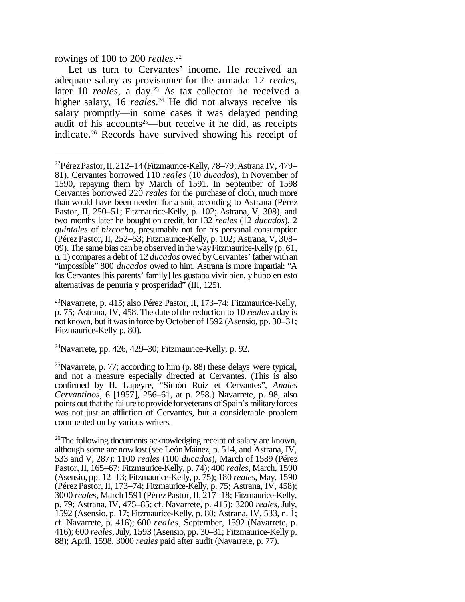rowings of 100 to 200 *reales*. 22

Let us turn to Cervantes' income. He received an adequate salary as provisioner for the armada: 12 *reales*, later 10 *reales*, a day.<sup>23</sup> As tax collector he received a higher salary, 16 *reales*. <sup>24</sup> He did not always receive his salary promptly—in some cases it was delayed pending audit of his accounts<sup>25</sup>—but receive it he did, as receipts indicate.<sup>26</sup> Records have survived showing his receipt of

<sup>23</sup>Navarrete, p. 415; also Pérez Pastor, II, 173–74; Fitzmaurice-Kelly, p. 75; Astrana, IV, 458. The date ofthe reduction to 10 *reales* a day is not known, but it was in force by October of 1592 (Asensio, pp. 30–31; Fitzmaurice-Kelly p. 80).

 $24$ Navarrete, pp. 426, 429–30; Fitzmaurice-Kelly, p. 92.

<sup>25</sup>Navarrete, p. 77; according to him  $(p. 88)$  these delays were typical, and not a measure especially directed at Cervantes. (This is also confirmed by H. Lapeyre, "Simón Ruiz et Cervantes", *Anales Cervantinos*, 6 [1957], 256–61, at p. 258.) Navarrete, p. 98, also points out that the failure to provide for veterans of Spain's military forces was not just an affliction of Cervantes, but a considerable problem commented on by various writers.

<sup>26</sup>The following documents acknowledging receipt of salary are known, although some are now lost (see León Máinez, p. 514, and Astrana, IV, 533 and V, 287): 1100 *reales* (100 *ducados*), March of 1589 (Pérez Pastor, II, 165–67; Fitzmaurice-Kelly, p. 74); 400 *reales*, March, 1590 (Asensio, pp. 12–13; Fitzmaurice-Kelly, p. 75); 180 *reales*, May, 1590 (PérezPastor, II, 173–74; Fitzmaurice-Kelly, p. 75; Astrana, IV, 458); 3000 *reales*, March1591(PérezPastor, II, 217–18; Fitzmaurice-Kelly, p. 79; Astrana, IV, 475–85; cf. Navarrete, p. 415); 3200 *reales*, July, 1592 (Asensio, p. 17; Fitzmaurice-Kelly, p. 80; Astrana, IV, 533, n. 1; cf. Navarrete, p. 416); 600 *reales*, September, 1592 (Navarrete, p. 416); 600 *reales*,July, 1593 (Asensio, pp. 30–31; Fitzmaurice-Kelly p. 88); April, 1598, 3000 *reales* paid after audit (Navarrete, p. 77).

<sup>&</sup>lt;sup>22</sup>PérezPastor, II, 212–14 (Fitzmaurice-Kelly, 78–79; Astrana IV, 479– 81), Cervantes borrowed 110 *reales* (10 *ducados*), in November of 1590, repaying them by March of 1591. In September of 1598 Cervantes borrowed 220 *reales* for the purchase of cloth, much more than would have been needed for a suit, according to Astrana (Pérez Pastor, II, 250–51; Fitzmaurice-Kelly, p. 102; Astrana, V, 308), and two months later he bought on credit, for 132 *reales* (12 *ducados*), 2 *quintales* of *bizcocho*, presumably not for his personal consumption (PérezPastor, II, 252–53; Fitzmaurice-Kelly, p. 102; Astrana, V, 308– 09). The same bias canbe observed inthewayFitzmaurice-Kelly (p. 61, n. 1) compares a debt of 12 *ducados* owed byCervantes' father withan "impossible" 800 *ducados* owed to him. Astrana is more impartial: "A los Cervantes [his parents' family] les gustaba vivir bien, yhubo en esto alternativas de penuria y prosperidad" (III, 125).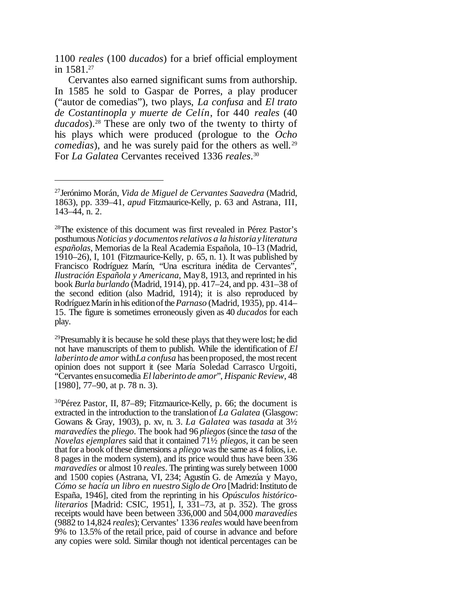1100 *reales* (100 *ducados*) for a brief official employment in 1581.<sup>27</sup>

Cervantes also earned significant sums from authorship. In 1585 he sold to Gaspar de Porres, a play producer ("autor de comedias"), two plays, *La confusa* and *El trato de Costantinopla y muerte de Celín*, for 440 *reales* (40 *ducados*).<sup>28</sup> These are only two of the twenty to thirty of his plays which were produced (prologue to the *Ocho comedias*), and he was surely paid for the others as well.<sup>29</sup> For *La Galatea* Cervantes received 1336 *reales*. 30

 $^{29}$ Presumably it is because he sold these plays that they were lost; he did not have manuscripts of them to publish. While the identification of *El laberinto de amor* with*La confusa* has been proposed, the most recent opinion does not support it (see María Soledad Carrasco Urgoiti, "Cervantes ensucomedia *El laberinto de amor*", *Hispanic Review*, 48 [1980], 77–90, at p. 78 n. 3).

<sup>30</sup>Pérez Pastor, II, 87–89; Fitzmaurice-Kelly, p. 66; the document is extracted in the introduction to the translationof *La Galatea* (Glasgow: Gowans & Gray, 1903), p. xv, n. 3. *La Galatea* was *tasada* at 3½ *maravedíes* the *pliego*. The book had 96 *pliegos*(since the *tasa* of the *Novelas ejemplares* said that it contained 71½ *pliegos*, it can be seen that for a book of these dimensions a *pliego* was the same as 4 folios, i.e. 8 pages in the modern system), and its price would thus have been 336 *maravedíes* or almost 10 *reales*. The printing was surely between 1000 and 1500 copies (Astrana, VI, 234; Agustín G. de Amezúa y Mayo, *Cómo se hacía un libro en nuestro Siglo de Oro* [Madrid:Instituto de España, 1946], cited from the reprinting in his *Opúsculos históricoliterarios* [Madrid: CSIC, 1951], I, 331–73, at p. 352). The gross receipts would have been between 336,000 and 504,000 *maravedíes* (9882 to 14,824 *reales*);Cervantes' 1336 *reales* would have beenfrom 9% to 13.5% of the retail price, paid of course in advance and before any copies were sold. Similar though not identical percentages can be

<sup>27</sup>Jerónimo Morán, *Vida de Miguel de Cervantes Saavedra* (Madrid, 1863), pp. 339–41, *apud* Fitzmaurice-Kelly, p. 63 and Astrana, III, 143–44, n. 2.

<sup>&</sup>lt;sup>28</sup>The existence of this document was first revealed in Pérez Pastor's posthumous*Noticias y documentosrelativos a la historiay literatura españolas*, Memorias de la Real Academia Española, 10–13 (Madrid, 1910–26), I, 101 (Fitzmaurice-Kelly, p. 65, n. 1). It was published by Francisco Rodríguez Marín, "Una escritura inédita de Cervantes", *Ilustración Española y Americana*, May8, 1913, and reprinted in his book *Burla burlando* (Madrid, 1914), pp. 417–24, and pp. 431–38 of the second edition (also Madrid, 1914); it is also reproduced by RodríguezMarín inhis editionofthe*Parnaso* (Madrid, 1935), pp. 414– 15. The figure is sometimes erroneously given as 40 *ducados* for each play.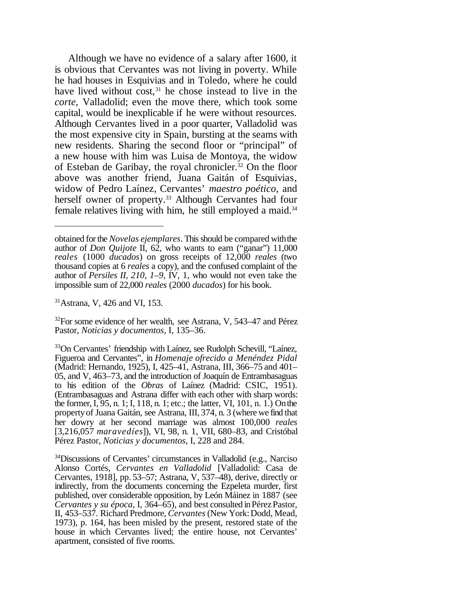Although we have no evidence of a salary after 1600, it is obvious that Cervantes was not living in poverty. While he had houses in Esquivias and in Toledo, where he could have lived without  $cost<sub>31</sub>$ , he chose instead to live in the *corte*, Valladolid; even the move there, which took some capital, would be inexplicable if he were without resources. Although Cervantes lived in a poor quarter, Valladolid was the most expensive city in Spain, bursting at the seams with new residents. Sharing the second floor or "principal" of a new house with him was Luisa de Montoya, the widow of Esteban de Garibay, the royal chronicler.<sup>32</sup> On the floor above was another friend, Juana Gaitán of Esquivias, widow of Pedro Laínez, Cervantes' *maestro poético*, and herself owner of property.<sup>33</sup> Although Cervantes had four female relatives living with him, he still employed a maid.<sup>34</sup>

<sup>31</sup>Astrana, V, 426 and VI, 153.

 $32$ For some evidence of her wealth, see Astrana, V, 543–47 and Pérez Pastor, *Noticias y documentos*, I, 135–36.

obtained forthe *Novelas ejemplares*. Thisshould be compared withthe author of *Don Quijote* II, 62, who wants to earn ("ganar") 11,000 *reales* (1000 *ducados*) on gross receipts of 12,000 *reales* (two thousand copies at 6 *reales* a copy), and the confused complaint of the author of *Persiles II, 210, 1–9,* IV, 1, who would not even take the impossible sum of 22,000 *reales* (2000 *ducados*) for his book.

<sup>&</sup>lt;sup>33</sup>On Cervantes' friendship with Laínez, see Rudolph Schevill, "Laínez, Figueroa and Cervantes", in *Homenaje ofrecido a Menéndez Pidal* (Madrid: Hernando, 1925), I, 425–41, Astrana, III, 366–75 and 401– 05, and V, 463–73, and the introduction of Joaquín de Entrambasaguas to his edition of the *Obras* of Laínez (Madrid: CSIC, 1951). (Entrambasaguas and Astrana differ with each other with sharp words: the former,I, 95, n. 1; I, 118, n. 1; etc.; the latter, VI, 101, n. 1.) Onthe propertyof Juana Gaitán, see Astrana, III, 374, n. 3 (where we find that her dowry at her second marriage was almost 100,000 *reales* [3,216,057 *maravedíes*]), VI, 98, n. 1, VII, 680–83, and Cristóbal Pérez Pastor, *Noticias y documentos*, I, 228 and 284.

<sup>34</sup>Discussions of Cervantes' circumstances in Valladolid (e.g., Narciso Alonso Cortés, *Cervantes en Valladolid* [Valladolid: Casa de Cervantes, 1918], pp. 53–57; Astrana, V, 537–48), derive, directly or indirectly, from the documents concerning the Ezpeleta murder, first published, over considerable opposition, by León Máinez in 1887 (see *Cervantes y su época*, I, 364–65), and best consulted inPérezPastor, II, 453–537. Richard Predmore, *Cervantes* (New York:Dodd, Mead, 1973), p. 164, has been misled by the present, restored state of the house in which Cervantes lived; the entire house, not Cervantes' apartment, consisted of five rooms.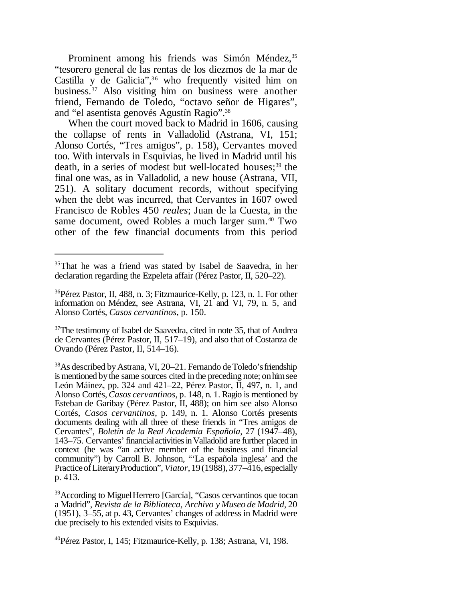Prominent among his friends was Simón Méndez,<sup>35</sup> "tesorero general de las rentas de los diezmos de la mar de Castilla y de Galicia",<sup>36</sup> who frequently visited him on business.<sup>37</sup> Also visiting him on business were another friend, Fernando de Toledo, "octavo señor de Higares", and "el asentista genovés Agustín Ragio".<sup>38</sup>

When the court moved back to Madrid in 1606, causing the collapse of rents in Valladolid (Astrana, VI, 151; Alonso Cortés, "Tres amigos", p. 158), Cervantes moved too. With intervals in Esquivias, he lived in Madrid until his death, in a series of modest but well-located houses;<sup>39</sup> the final one was, as in Valladolid, a new house (Astrana, VII, 251). A solitary document records, without specifying when the debt was incurred, that Cervantes in 1607 owed Francisco de Robles 450 *reales*; Juan de la Cuesta, in the same document, owed Robles a much larger sum.<sup>40</sup> Two other of the few financial documents from this period

<sup>&</sup>lt;sup>35</sup>That he was a friend was stated by Isabel de Saavedra, in her declaration regarding the Ezpeleta affair (Pérez Pastor, II, 520–22).

<sup>36</sup>Pérez Pastor, II, 488, n. 3; Fitzmaurice-Kelly, p. 123, n. 1. For other information on Méndez, see Astrana, VI, 21 and VI, 79, n. 5, and Alonso Cortés, *Casos cervantinos*, p. 150.

<sup>&</sup>lt;sup>37</sup>The testimony of Isabel de Saavedra, cited in note 35, that of Andrea de Cervantes (Pérez Pastor, II, 517–19), and also that of Costanza de Ovando (Pérez Pastor, II, 514–16).

<sup>&</sup>lt;sup>38</sup>As described by Astrana, VI, 20–21. Fernando de Toledo's friendship is mentioned by the same sources cited in the preceding note; on him see León Máinez, pp. 324 and 421–22, Pérez Pastor, II, 497, n. 1, and Alonso Cortés, *Casos cervantinos*, p. 148, n. 1. Ragio is mentioned by Esteban de Garibay (Pérez Pastor, II, 488); on him see also Alonso Cortés, *Casos cervantinos*, p. 149, n. 1. Alonso Cortés presents documents dealing with all three of these friends in "Tres amigos de Cervantes", *Boletín de la Real Academia Española*, 27 (1947–48), 143–75. Cervantes' financialactivitiesinValladolid are further placed in context (he was "an active member of the business and financial community") by Carroll B. Johnson, "'La española inglesa' and the Practice of Literary Production", *Viator*, 19(1988), 377–416, especially p. 413.

<sup>&</sup>lt;sup>39</sup>According to Miguel Herrero [García], "Casos cervantinos que tocan a Madrid", *Revista de la Biblioteca, Archivo y Museo de Madrid*, 20 (1951), 3–55, at p. 43, Cervantes' changes of address in Madrid were due precisely to his extended visits to Esquivias.

 $^{40}$ Pérez Pastor, I, 145; Fitzmaurice-Kelly, p. 138; Astrana, VI, 198.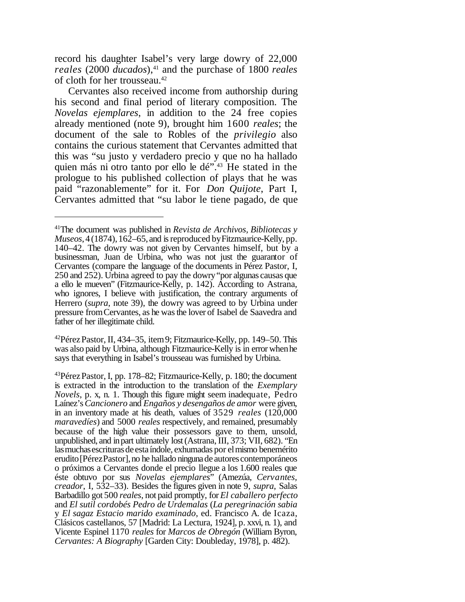record his daughter Isabel's very large dowry of 22,000 *reales* (2000 *ducados*),<sup>41</sup> and the purchase of 1800 *reales* of cloth for her trousseau.<sup>42</sup>

Cervantes also received income from authorship during his second and final period of literary composition. The *Novelas ejemplares*, in addition to the 24 free copies already mentioned (note 9), brought him 1600 *reales*; the document of the sale to Robles of the *privilegio* also contains the curious statement that Cervantes admitted that this was "su justo y verdadero precio y que no ha hallado quien más ni otro tanto por ello le dé".<sup>43</sup> He stated in the prologue to his published collection of plays that he was paid "razonablemente" for it. For *Don Quijote*, Part I, Cervantes admitted that "su labor le tiene pagado, de que

 $^{42}$ Pérez Pastor, II, 434–35, item 9; Fitzmaurice-Kelly, pp. 149–50. This was also paid by Urbina, although Fitzmaurice-Kelly is in error whenhe says that everything in Isabel's trousseau was furnished by Urbina.

<sup>41</sup>The document was published in *Revista de Archivos, Bibliotecas y Museos*, 4(1874), 162–65, and is reproduced by Fitzmaurice-Kelly, pp. 140–42. The dowry was not given by Cervantes himself, but by a businessman, Juan de Urbina, who was not just the guarantor of Cervantes (compare the language of the documents in Pérez Pastor, I, 250 and 252). Urbina agreed to pay the dowry"por algunas causas que a ello le mueven" (Fitzmaurice-Kelly, p. 142). According to Astrana, who ignores, I believe with justification, the contrary arguments of Herrero (*supra*, note 39), the dowry was agreed to by Urbina under pressure fromCervantes, as he wasthe lover of Isabel de Saavedra and father of her illegitimate child.

 $^{43}$ Pérez Pastor, I, pp. 178–82; Fitzmaurice-Kelly, p. 180; the document is extracted in the introduction to the translation of the *Exemplary Novels*, p. x, n. 1. Though this figure might seem inadequate, Pedro Laínez's*Cancionero* and *Engaños y desengaños de amor* were given, in an inventory made at his death, values of 3529 *reales* (120,000 *maravedíes*) and 5000 *reales* respectively, and remained, presumably because of the high value their possessors gave to them, unsold, unpublished, and inpart ultimately lost(Astrana,III, 373; VII, 682). "En las muchas escrituras de esta índole, exhumadas por el mismo benemérito erudito [Pérez Pastor], no he hallado ninguna de autores contemporáneos o próximos a Cervantes donde el precio llegue a los 1.600 reales que éste obtuvo por sus *Novelas ejemplares*" (Amezúa, *Cervantes, creador*, I, 532–33). Besides the figures given in note 9, *supra*, Salas Barbadillo got 500 *reales*, not paid promptly, for *El caballero perfecto* and *El sutil cordobés Pedro de Urdemalas* (*La peregrinación sabia* y *El sagaz Estacio marido examinado*, ed. Francisco A. de Icaza, Clásicos castellanos, 57 [Madrid: La Lectura, 1924], p. xxvi, n. 1), and Vicente Espinel 1170 *reales* for *Marcos de Obregón* (William Byron, *Cervantes: A Biography* [Garden City: Doubleday, 1978], p. 482).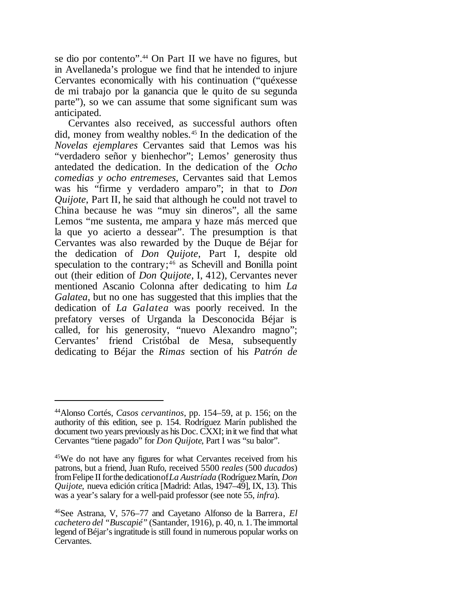se dio por contento".<sup>44</sup> On Part II we have no figures, but in Avellaneda's prologue we find that he intended to injure Cervantes economically with his continuation ("quéxesse de mi trabajo por la ganancia que le quito de su segunda parte"), so we can assume that some significant sum was anticipated.

Cervantes also received, as successful authors often did, money from wealthy nobles.45 In the dedication of the *Novelas ejemplares* Cervantes said that Lemos was his "verdadero señor y bienhechor"; Lemos' generosity thus antedated the dedication. In the dedication of the *Ocho comedias y ocho entremeses*, Cervantes said that Lemos was his "firme y verdadero amparo"; in that to *Don Quijote*, Part II, he said that although he could not travel to China because he was "muy sin dineros", all the same Lemos "me sustenta, me ampara y haze más merced que la que yo acierto a dessear". The presumption is that Cervantes was also rewarded by the Duque de Béjar for the dedication of *Don Quijote*, Part I, despite old speculation to the contrary; $46$  as Schevill and Bonilla point out (their edition of *Don Quijote*, I, 412), Cervantes never mentioned Ascanio Colonna after dedicating to him *La Galatea*, but no one has suggested that this implies that the dedication of *La Galatea* was poorly received. In the prefatory verses of Urganda la Desconocida Béjar is called, for his generosity, "nuevo Alexandro magno"; Cervantes' friend Cristóbal de Mesa, subsequently dedicating to Béjar the *Rimas* section of his *Patrón de*

<sup>44</sup>Alonso Cortés, *Casos cervantinos*, pp. 154–59, at p. 156; on the authority of this edition, see p. 154. Rodríguez Marín published the document two years previously as his Doc. CXXI; in it we find that what Cervantes "tiene pagado" for *Don Quijote*, Part I was "su balor".

<sup>45</sup>We do not have any figures for what Cervantes received from his patrons, but a friend, Juan Rufo, received 5500 *reales* (500 *ducados*) fromFelipe II forthe dedicationof*La Austríada* (RodríguezMarín, *Don Quijote*, nueva edición crítica [Madrid: Atlas, 1947–49], IX, 13). This was a year's salary for a well-paid professor (see note 55, *infra*).

<sup>46</sup>See Astrana, V, 576–77 and Cayetano Alfonso de la Barrera, *El cachetero del "Buscapié"* (Santander, 1916), p. 40, n. 1.The immortal legend of Béjar's ingratitude is still found in numerous popular works on Cervantes.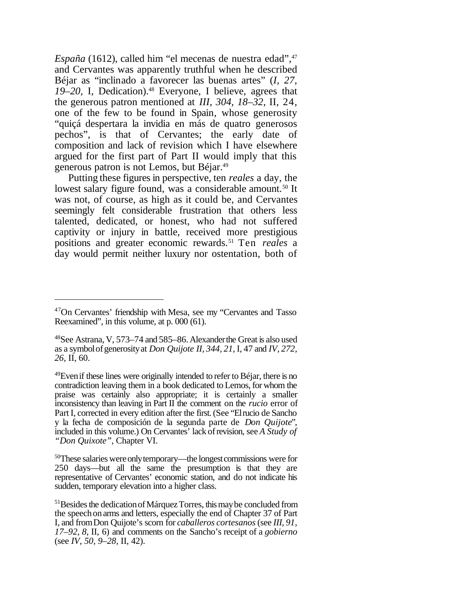*España* (1612), called him "el mecenas de nuestra edad", 47 and Cervantes was apparently truthful when he described Béjar as "inclinado a favorecer las buenas artes" (*I, 27,* 19–20, I, Dedication).<sup>48</sup> Everyone, I believe, agrees that the generous patron mentioned at *III, 304, 18–32,* II, 24, one of the few to be found in Spain, whose generosity "quiçá despertara la invidia en más de quatro generosos pechos", is that of Cervantes; the early date of composition and lack of revision which I have elsewhere argued for the first part of Part II would imply that this generous patron is not Lemos, but Béjar.<sup>49</sup>

Putting these figures in perspective, ten *reales* a day, the lowest salary figure found, was a considerable amount.<sup>50</sup> It was not, of course, as high as it could be, and Cervantes seemingly felt considerable frustration that others less talented, dedicated, or honest, who had not suffered captivity or injury in battle, received more prestigious positions and greater economic rewards.51 Ten *reales* a day would permit neither luxury nor ostentation, both of

<sup>47</sup>On Cervantes' friendship with Mesa, see my "Cervantes and Tasso Reexamined", in this volume, at p. 000 (61).

<sup>48</sup>See Astrana, V, 573–74 and 585–86.Alexanderthe Great is also used as a symbolofgenerosityat *Don Quijote II, 344, 21,* I, 47 and *IV, 272, 26,* II, 60.

 $49$ Even if these lines were originally intended to refer to Béjar, there is no contradiction leaving them in a book dedicated to Lemos, for whom the praise was certainly also appropriate; it is certainly a smaller inconsistency than leaving in Part II the comment on the *rucio* error of Part I, corrected in every edition after the first.(See "Elrucio de Sancho y la fecha de composición de la segunda parte de *Don Quijote*", included in this volume.) On Cervantes' lack ofrevision, see *A Study of "Don Quixote"*, Chapter VI.

<sup>50</sup>These salaries wereonlytemporary—the longestcommissions were for 250 days—but all the same the presumption is that they are representative of Cervantes' economic station, and do not indicate his sudden, temporary elevation into a higher class.

 $51$ Besides the dedication of Márquez Torres, this may be concluded from the speechonarms and letters, especially the end of Chapter 37 of Part I, and fromDon Quijote's scorn for *caballeros cortesanos*(see *III, 91, 17–92, 8,* II, 6) and comments on the Sancho's receipt of a *gobierno* (see *IV, 50, 9–28,* II, 42).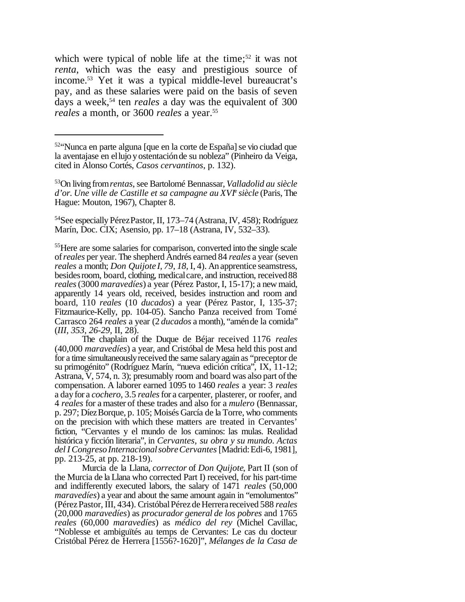which were typical of noble life at the time;<sup>52</sup> it was not *renta*, which was the easy and prestigious source of income.<sup>53</sup> Yet it was a typical middle-level bureaucrat's pay, and as these salaries were paid on the basis of seven days a week,<sup>54</sup> ten *reales* a day was the equivalent of 300 *reales* a month, or 3600 *reales* a year.55

<sup>54</sup>See especially PérezPastor, II, 173–74 (Astrana,IV, 458); Rodríguez Marín, Doc. CIX; Asensio, pp. 17–18 (Astrana, IV, 532–33).

The chaplain of the Duque de Béjar received 1176 *reales* (40,000 *maravedíes*) a year, and Cristóbal de Mesa held this post and for a time simultaneouslyreceived the same salaryagain as "preceptor de su primogénito" (Rodríguez Marín, "nueva edición crítica", IX, 11-12; Astrana, V, 574, n. 3); presumably room and board was also part of the compensation. A laborer earned 1095 to 1460 *reales* a year: 3 *reales* a dayfor a *cochero*, 3.5 *reales*for a carpenter, plasterer, or roofer, and 4 *reales* for a master of these trades and also for a *mulero* (Bennassar, p. 297; DíezBorque, p. 105; Moisés García de la Torre, who comments on the precision with which these matters are treated in Cervantes' fiction, "Cervantes y el mundo de los caminos: las mulas. Realidad histórica y ficción literaria", in *Cervantes, su obra y su mundo. Actas del I CongresoInternacionalsobreCervantes* [Madrid:Edi-6, 1981], pp. 213-25, at pp. 218-19).

Murcia de la Llana, *corrector* of *Don Quijote*, Part II (son of the Murcia de la Llana who corrected Part I) received, for his part-time and indifferently executed labors, the salary of 1471 *reales* (50,000 *maravedíes*) a year and about the same amount again in "emolumentos" (PérezPastor, III, 434). CristóbalPérezdeHerrerareceived 588 *reales* (20,000 *maravedíes*) as *procurador general de los pobres* and 1765 *reales* (60,000 *maravedíes*) as *médico del rey* (Michel Cavillac, "Noblesse et ambiguïtés au temps de Cervantes: Le cas du docteur Cristóbal Pérez de Herrera [1556?-1620]", *Mélanges de la Casa de*

<sup>&</sup>lt;sup>52</sup>'Nunca en parte alguna [que en la corte de España] se vio ciudad que la aventajase en ellujo yostentaciónde su nobleza" (Pinheiro da Veiga, cited in Alonso Cortés, *Casos cervantinos*, p. 132).

<sup>53</sup>On living from*rentas*,see Bartolomé Bennassar, *Valladolid au siècle d'or. Une ville de Castille et sa campagne au XVI*<sup>e</sup> *siècle* (Paris, The Hague: Mouton, 1967), Chapter 8.

<sup>55</sup>Here are some salaries for comparison, converted into the single scale of*reales* per year. The shepherd Andrés earned 84 *reales* a year (seven *reales* a month; *Don Quijote I, 79, 18,* I, 4). An apprentice seamstress, besides room, board, clothing, medical care, and instruction, received 88 *reales*(3000 *maravedíes*) a year (Pérez Pastor, I, 15-17); a newmaid, apparently 14 years old, received, besides instruction and room and board, 110 *reales* (10 *ducados*) a year (Pérez Pastor, I, 135-37; Fitzmaurice-Kelly, pp. 104-05). Sancho Panza received from Tomé Carrasco 264 *reales* a year (2 *ducados* a month), "aménde la comida" (*III, 353, 26-29,* II, 28).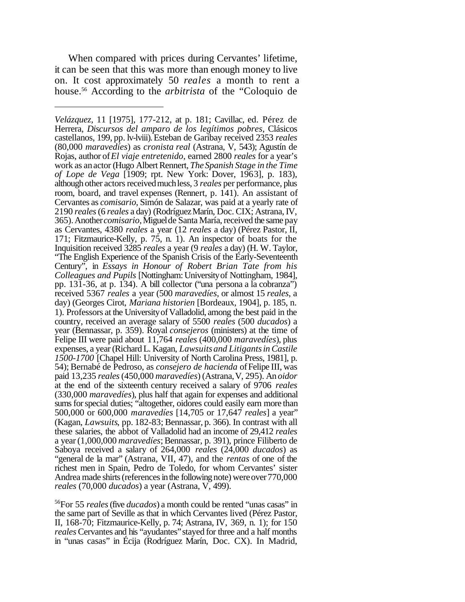When compared with prices during Cervantes' lifetime, it can be seen that this was more than enough money to live on. It cost approximately 50 *reales* a month to rent a house.<sup>56</sup> According to the *arbitrista* of the "Coloquio de

<sup>56</sup>For 55 *reales*(five *ducados*) a month could be rented "unas casas" in the same part of Seville as that in which Cervantes lived (Pérez Pastor, II, 168-70; Fitzmaurice-Kelly, p. 74; Astrana, IV, 369, n. 1); for 150 *reales* Cervantes and his "ayudantes" stayed for three and a half months in "unas casas" in Écija (Rodríguez Marín, Doc. CX). In Madrid,

*Velázquez*, 11 [1975], 177-212, at p. 181; Cavillac, ed. Pérez de Herrera, *Discursos del amparo de los legítimos pobres*, Clásicos castellanos, 199, pp. lv-lviii).Esteban de Garibay received 2353 *reales* (80,000 *maravedíes*) as *cronista real* (Astrana, V, 543); Agustín de Rojas, author of*El viaje entretenido*, earned 2800 *reales* for a year's work as an actor (Hugo Albert Rennert, *The Spanish Stage in the Time of Lope de Vega* [1909; rpt. New York: Dover, 1963], p. 183), although other actors received much less, 3 *reales* per performance, plus room, board, and travel expenses (Rennert, p. 141). An assistant of Cervantes as *comisario*, Simón de Salazar, was paid at a yearly rate of 2190 *reales*(6 *reales* a day) (RodríguezMarín, Doc. CIX; Astrana,IV, 365).Another*comisario*,Miguelde Santa María,received the same pay as Cervantes, 4380 *reales* a year (12 *reales* a day) (Pérez Pastor, II, 171; Fitzmaurice-Kelly, p. 75, n. 1). An inspector of boats for the Inquisition received 3285 *reales* a year (9 *reales* a day) (H. W. Taylor, "The English Experience of the Spanish Crisis of the Early-Seventeenth Century", in *Essays in Honour of Robert Brian Tate from his Colleagues and Pupils* [Nottingham: Universityof Nottingham, 1984], pp. 131-36, at p. 134). A bill collector ("una persona a la cobranza") received 5367 *reales* a year (500 *maravedíes*, or almost 15 *reales*, a day) (Georges Cirot, *Mariana historien* [Bordeaux, 1904], p. 185, n. 1). Professors at the UniversityofValladolid, among the best paid in the country, received an average salary of 5500 *reales* (500 *ducados*) a year (Bennassar, p. 359). Royal *consejeros* (ministers) at the time of Felipe III were paid about 11,764 *reales* (400,000 *maravedíes*), plus expenses, a year(Richard L. Kagan, *Lawsuits and Litigantsin Castile 1500-1700* [Chapel Hill: University of North Carolina Press, 1981], p. 54); Bernabé de Pedroso, as *consejero de hacienda* ofFelipe III, was paid 13,235 *reales*(450,000 *maravedíes*) (Astrana,V, 295). An *oidor* at the end of the sixteenth century received a salary of 9706 *reales* (330,000 *maravedíes*), plus half that again for expenses and additional sums for special duties; "altogether, oidores could easily earn more than 500,000 or 600,000 *maravedíes* [14,705 or 17,647 *reales*] a year" (Kagan, *Lawsuits*, pp. 182-83; Bennassar, p. 366). In contrast with all these salaries, the abbot of Valladolid had an income of 29,412 *reales* a year (1,000,000 *maravedíes*;Bennassar, p. 391), prince Filiberto de Saboya received a salary of 264,000 *reales* (24,000 *ducados*) as "general de la mar" (Astrana, VII, 47), and the *rentas* of one of the richest men in Spain, Pedro de Toledo, for whom Cervantes' sister Andrea made shirts (references in the following note) were over  $770,000$ *reales* (70,000 *ducados*) a year (Astrana, V, 499).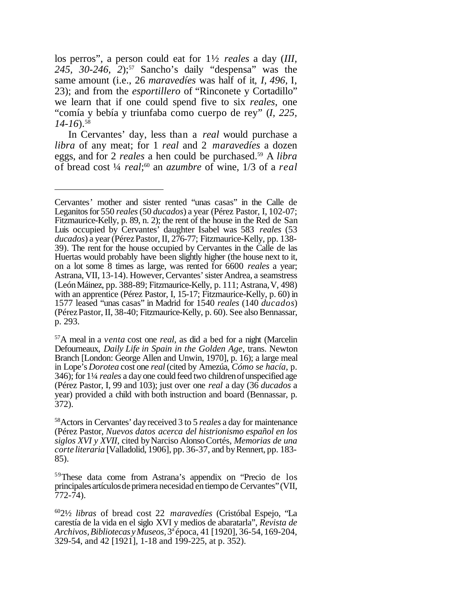los perros", a person could eat for 1½ *reales* a day (*III,* 245, 30-246, 2;<sup>57</sup> Sancho's daily "despensa" was the same amount (i.e., 26 *maravedíes* was half of it, *I, 496*, I, 23); and from the *esportillero* of "Rinconete y Cortadillo" we learn that if one could spend five to six *reales*, one "comía y bebía y triunfaba como cuerpo de rey" (*I, 225, 14-16*).<sup>58</sup>

In Cervantes' day, less than a *real* would purchase a *libra* of any meat; for 1 *real* and 2 *maravedíes* a dozen eggs, and for 2 *reales* a hen could be purchased.<sup>59</sup> A *libra* of bread cost ¼ *real*; <sup>60</sup> an *azumbre* of wine, 1/3 of a *real*

Cervantes' mother and sister rented "unas casas" in the Calle de Leganitosfor 550 *reales*(50 *ducados*) a year (Pérez Pastor, I, 102-07; Fitzmaurice-Kelly, p. 89, n. 2); the rent of the house in the Red de San Luis occupied by Cervantes' daughter Isabel was 583 *reales* (53 ducados) a year (Pérez Pastor, II, 276-77; Fitzmaurice-Kelly, pp. 138-39). The rent for the house occupied by Cervantes in the Calle de las Huertas would probably have been slightly higher (the house next to it, on a lot some 8 times as large, was rented for 6600 *reales* a year; Astrana, VII, 13-14). However, Cervantes' sister Andrea, a seamstress (LeónMáinez, pp. 388-89; Fitzmaurice-Kelly, p. 111; Astrana,V, 498) with an apprentice (Pérez Pastor, I, 15-17; Fitzmaurice-Kelly, p. 60) in 1577 leased "unas casas" in Madrid for 1540 *reales* (140 *ducados*) (Pérez Pastor, II, 38-40; Fitzmaurice-Kelly, p. 60). See also Bennassar, p. 293.

<sup>57</sup>A meal in a *venta* cost one *real*, as did a bed for a night (Marcelin Defourneaux, *Daily Life in Spain in the Golden Age*, trans. Newton Branch [London: George Allen and Unwin, 1970], p. 16); a large meal in Lope's *Dorotea* cost one *real* (cited by Amezúa, *Cómo se hacía*, p. 346); for 1¼ *reales* a dayone could feed two childrenofunspecified age (Pérez Pastor, I, 99 and 103); just over one *real* a day (36 *ducados* a year) provided a child with both instruction and board (Bennassar, p. 372).

<sup>58</sup>Actors in Cervantes' dayreceived 3 to 5 *reales* a day for maintenance (Pérez Pastor, *Nuevos datos acerca del histrionismo español en los siglos XVI y XVII*, cited byNarciso AlonsoCortés, *Memorias de una corte literaria* [Valladolid, 1906], pp. 36-37, and by Rennert, pp. 183-85).

<sup>59</sup>These data come from Astrana's appendix on "Precio de los principales artículos de primera necesidad en tiempo de Cervantes" (VII, 772-74).

<sup>60</sup>2½ *libras* of bread cost 22 *maravedíes* (Cristóbal Espejo, "La carestía de la vida en el siglo XVI y medios de abaratarla", *Revista de Archivos,Bibliotecas yMuseos*,3 a época, 41 [1920], 36-54, 169-204, 329-54, and 42 [1921], 1-18 and 199-225, at p. 352).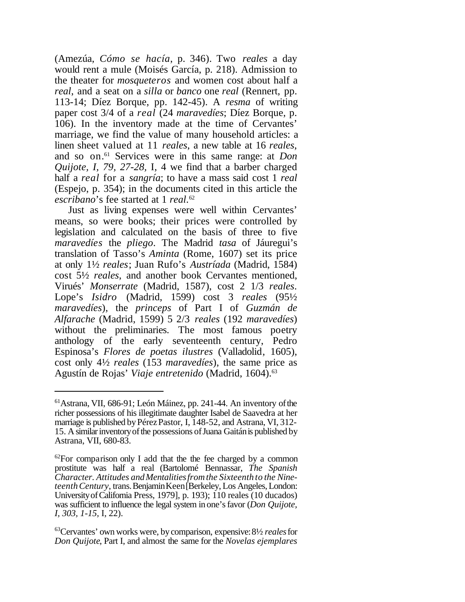(Amezúa, *Cómo se hacía*, p. 346). Two *reales* a day would rent a mule (Moisés García, p. 218). Admission to the theater for *mosqueteros* and women cost about half a *real*, and a seat on a *silla* or *banco* one *real* (Rennert, pp. 113-14; Díez Borque, pp. 142-45). A *resma* of writing paper cost 3/4 of a *real* (24 *maravedíes*; Díez Borque, p. 106). In the inventory made at the time of Cervantes' marriage, we find the value of many household articles: a linen sheet valued at 11 *reales*, a new table at 16 *reales*, and so on.<sup>61</sup> Services were in this same range: at *Don Quijote, I, 79, 27-28,* I, 4 we find that a barber charged half a *real* for a *sangría*; to have a mass said cost 1 *real* (Espejo, p. 354); in the documents cited in this article the *escribano*'s fee started at 1 *real*. 62

Just as living expenses were well within Cervantes' means, so were books; their prices were controlled by legislation and calculated on the basis of three to five *maravedíes* the *pliego*. The Madrid *tasa* of Jáuregui's translation of Tasso's *Aminta* (Rome, 1607) set its price at only 1½ *reales*; Juan Rufo's *Austríada* (Madrid, 1584) cost 5½ *reales*, and another book Cervantes mentioned, Virués' *Monserrate* (Madrid, 1587), cost 2 1/3 *reales*. Lope's *Isidro* (Madrid, 1599) cost 3 *reales* (95½ *maravedíes*), the *princeps* of Part I of *Guzmán de Alfarache* (Madrid, 1599) 5 2/3 *reales* (192 *maravedíes*) without the preliminaries. The most famous poetry anthology of the early seventeenth century, Pedro Espinosa's *Flores de poetas ilustres* (Valladolid, 1605), cost only 4½ *reales* (153 *maravedíes*), the same price as Agustín de Rojas' *Viaje entretenido* (Madrid, 1604).<sup>63</sup>

<sup>61</sup>Astrana, VII, 686-91; León Máinez, pp. 241-44. An inventory ofthe richer possessions of his illegitimate daughter Isabel de Saavedra at her marriage is published by Pérez Pastor, I, 148-52, and Astrana, VI, 312-15. A similar inventory of the possessions of Juana Gaitán is published by Astrana, VII, 680-83.

 $^{62}$ For comparison only I add that the the fee charged by a common prostitute was half a real (Bartolomé Bennassar, *The Spanish Character. Attitudes andMentalitiesfromthe Sixteenth to the Nineteenth Century*, trans. Benjamin Keen [Berkeley, Los Angeles, London: UniversityofCalifornia Press, 1979], p. 193); 110 reales (10 ducados) was sufficient to influence the legal system in one's favor (*Don Quijote*, *I, 303, 1-15,* I, 22).

<sup>63</sup>Cervantes' own works were, bycomparison, expensive:8½ *reales*for *Don Quijote*, Part I, and almost the same for the *Novelas ejemplares*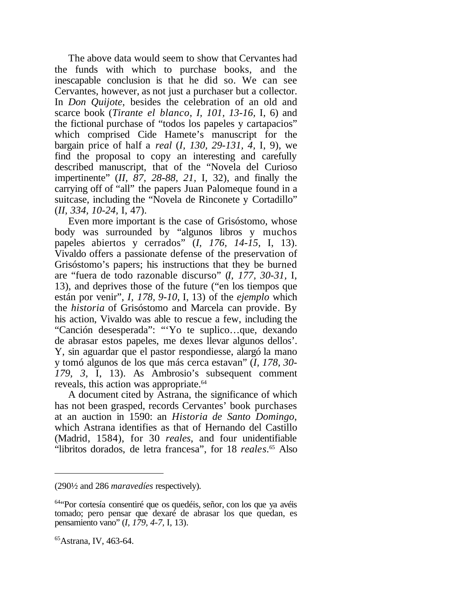The above data would seem to show that Cervantes had the funds with which to purchase books, and the inescapable conclusion is that he did so. We can see Cervantes, however, as not just a purchaser but a collector. In *Don Quijote*, besides the celebration of an old and scarce book (*Tirante el blanco*, *I, 101, 13-16,* I, 6) and the fictional purchase of "todos los papeles y cartapacios" which comprised Cide Hamete's manuscript for the bargain price of half a *real* (*I, 130, 29-131, 4,* I, 9), we find the proposal to copy an interesting and carefully described manuscript, that of the "Novela del Curioso impertinente" (*II, 87, 28-88, 21,* I, 32), and finally the carrying off of "all" the papers Juan Palomeque found in a suitcase, including the "Novela de Rinconete y Cortadillo" (*II, 334, 10-24,* I, 47).

Even more important is the case of Grisóstomo, whose body was surrounded by "algunos libros y muchos papeles abiertos y cerrados" (*I, 176, 14-15,* I, 13). Vivaldo offers a passionate defense of the preservation of Grisóstomo's papers; his instructions that they be burned are "fuera de todo razonable discurso" (*I, 177, 30-31,* I, 13), and deprives those of the future ("en los tiempos que están por venir", *I, 178, 9-10,* I, 13) of the *ejemplo* which the *historia* of Grisóstomo and Marcela can provide. By his action, Vivaldo was able to rescue a few, including the "Canción desesperada": "'Yo te suplico…que, dexando de abrasar estos papeles, me dexes llevar algunos dellos'. Y, sin aguardar que el pastor respondiesse, alargó la mano y tomó algunos de los que más cerca estavan" (*I, 178, 30- 179, 3,* I, 13). As Ambrosio's subsequent comment reveals, this action was appropriate.<sup>64</sup>

A document cited by Astrana, the significance of which has not been grasped, records Cervantes' book purchases at an auction in 1590: an *Historia de Santo Domingo*, which Astrana identifies as that of Hernando del Castillo (Madrid, 1584), for 30 *reales*, and four unidentifiable "libritos dorados, de letra francesa", for 18 *reales*. <sup>65</sup> Also

<sup>(290</sup>½ and 286 *maravedíes* respectively).

<sup>64</sup>"Por cortesía consentiré que os quedéis, señor, con los que ya avéis tomado; pero pensar que dexaré de abrasar los que quedan, es pensamiento vano" (*I, 179, 4-7,* I, 13).

<sup>65</sup>Astrana, IV, 463-64.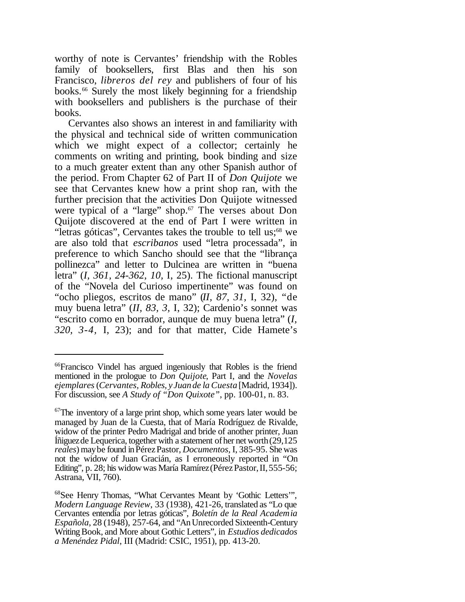worthy of note is Cervantes' friendship with the Robles family of booksellers, first Blas and then his son Francisco, *libreros del rey* and publishers of four of his books.<sup>66</sup> Surely the most likely beginning for a friendship with booksellers and publishers is the purchase of their books.

Cervantes also shows an interest in and familiarity with the physical and technical side of written communication which we might expect of a collector; certainly he comments on writing and printing, book binding and size to a much greater extent than any other Spanish author of the period. From Chapter 62 of Part II of *Don Quijote* we see that Cervantes knew how a print shop ran, with the further precision that the activities Don Quijote witnessed were typical of a "large" shop.<sup>67</sup> The verses about Don Quijote discovered at the end of Part I were written in "letras góticas", Cervantes takes the trouble to tell us;<sup>68</sup> we are also told that *escribanos* used "letra processada", in preference to which Sancho should see that the "librança pollinezca" and letter to Dulcinea are written in "buena letra" (*I, 361, 24-362, 10,* I, 25). The fictional manuscript of the "Novela del Curioso impertinente" was found on "ocho pliegos, escritos de mano" (*II, 87, 31,* I, 32), "de muy buena letra" (*II, 83, 3,* I, 32); Cardenio's sonnet was "escrito como en borrador, aunque de muy buena letra" (*I, 320, 3-4,* I, 23); and for that matter, Cide Hamete's

<sup>66</sup>Francisco Vindel has argued ingeniously that Robles is the friend mentioned in the prologue to *Don Quijote*, Part I, and the *Novelas ejemplares*(*Cervantes, Robles, y Juande la Cuesta* [Madrid, 1934]). For discussion, see *A Study of "Don Quixote"*, pp. 100-01, n. 83.

 $67$ The inventory of a large print shop, which some years later would be managed by Juan de la Cuesta, that of María Rodríguez de Rivalde, widow of the printer Pedro Madrigal and bride of another printer, Juan Íñiguezde Lequerica, together with a statement ofher net worth(29,125 *reales*) may be found in Pérez Pastor, *Documentos*, I, 385-95. She was not the widow of Juan Gracián, as I erroneously reported in "On Editing", p. 28; his widow was María Ramírez (Pérez Pastor, II, 555-56; Astrana, VII, 760).

<sup>68</sup>See Henry Thomas, "What Cervantes Meant by 'Gothic Letters'", *Modern Language Review*, 33 (1938), 421-26, translated as "Lo que Cervantes entendía por letras góticas", *Boletín de la Real Academia Española*, 28 (1948), 257-64, and "AnUnrecorded Sixteenth-Century WritingBook, and More about Gothic Letters", in *Estudios dedicados a Menéndez Pidal*, III (Madrid: CSIC, 1951), pp. 413-20.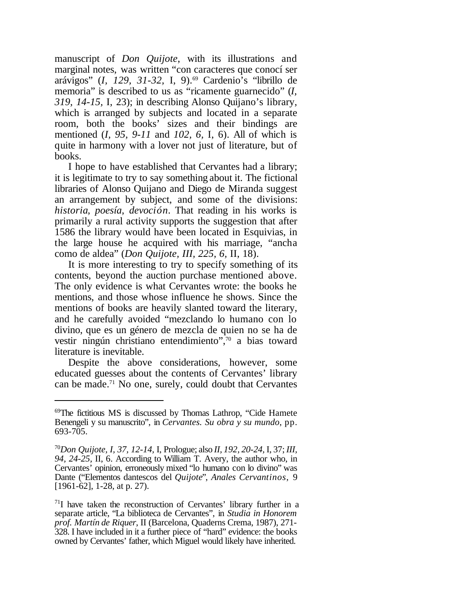manuscript of *Don Quijote*, with its illustrations and marginal notes, was written "con caracteres que conocí ser arávigos" (*I, 129, 31-32,* I, 9).<sup>69</sup> Cardenio's "librillo de memoria" is described to us as "ricamente guarnecido" (*I, 319, 14-15,* I, 23); in describing Alonso Quijano's library, which is arranged by subjects and located in a separate room, both the books' sizes and their bindings are mentioned (*I, 95, 9-11* and *102, 6,* I, 6). All of which is quite in harmony with a lover not just of literature, but of books.

I hope to have established that Cervantes had a library; it is legitimate to try to say something about it. The fictional libraries of Alonso Quijano and Diego de Miranda suggest an arrangement by subject, and some of the divisions: *historia*, *poesía*, *devoción*. That reading in his works is primarily a rural activity supports the suggestion that after 1586 the library would have been located in Esquivias, in the large house he acquired with his marriage, "ancha como de aldea" (*Don Quijote, III, 225, 6,* II, 18).

It is more interesting to try to specify something of its contents, beyond the auction purchase mentioned above. The only evidence is what Cervantes wrote: the books he mentions, and those whose influence he shows. Since the mentions of books are heavily slanted toward the literary, and he carefully avoided "mezclando lo humano con lo divino, que es un género de mezcla de quien no se ha de vestir ningún christiano entendimiento",<sup>70</sup> a bias toward literature is inevitable.

Despite the above considerations, however, some educated guesses about the contents of Cervantes' library can be made.<sup>71</sup> No one, surely, could doubt that Cervantes

<sup>69</sup>The fictitious MS is discussed by Thomas Lathrop, "Cide Hamete Benengeli y su manuscrito", in *Cervantes. Su obra y su mundo*, pp. 693-705.

<sup>70</sup>*Don Quijote, I, 37, 12-14,* I, Prologue; also *II, 192, 20-24,* I, 37; *III, 94, 24-25,* II, 6. According to William T. Avery, the author who, in Cervantes' opinion, erroneously mixed "lo humano con lo divino" was Dante ("Elementos dantescos del *Quijote*", *Anales Cervantinos*, 9 [1961-62], 1-28, at p. 27).

 $71$ I have taken the reconstruction of Cervantes' library further in a separate article, "La biblioteca de Cervantes", in *Studia in Honorem prof. Martín de Riquer*, II (Barcelona, Quaderns Crema, 1987), 271- 328. I have included in it a further piece of "hard" evidence: the books owned by Cervantes' father, which Miguel would likely have inherited.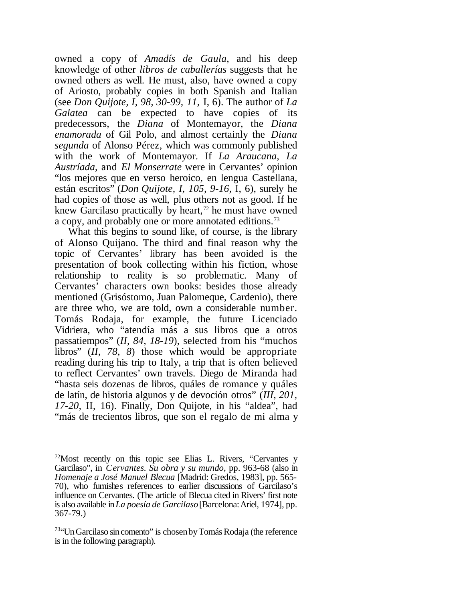owned a copy of *Amadís de Gaula*, and his deep knowledge of other *libros de caballerías* suggests that he owned others as well. He must, also, have owned a copy of Ariosto, probably copies in both Spanish and Italian (see *Don Quijote, I, 98, 30-99, 11,* I, 6). The author of *La Galatea* can be expected to have copies of its predecessors, the *Diana* of Montemayor, the *Diana enamorada* of Gil Polo, and almost certainly the *Diana segunda* of Alonso Pérez, which was commonly published with the work of Montemayor. If *La Araucana*, *La Austríada*, and *El Monserrate* were in Cervantes' opinion "los mejores que en verso heroico, en lengua Castellana, están escritos" (*Don Quijote, I, 105, 9-16,* I, 6), surely he had copies of those as well, plus others not as good. If he knew Garcilaso practically by heart, $<sup>72</sup>$  he must have owned</sup> a copy, and probably one or more annotated editions.<sup>73</sup>

What this begins to sound like, of course, is the library of Alonso Quijano. The third and final reason why the topic of Cervantes' library has been avoided is the presentation of book collecting within his fiction, whose relationship to reality is so problematic. Many of Cervantes' characters own books: besides those already mentioned (Grisóstomo, Juan Palomeque, Cardenio), there are three who, we are told, own a considerable number. Tomás Rodaja, for example, the future Licenciado Vidriera, who "atendía más a sus libros que a otros passatiempos" (*II, 84, 18-19*), selected from his "muchos libros" (*II, 78, 8*) those which would be appropriate reading during his trip to Italy, a trip that is often believed to reflect Cervantes' own travels. Diego de Miranda had "hasta seis dozenas de libros, quáles de romance y quáles de latín, de historia algunos y de devoción otros" (*III, 201, 17-20,* II, 16). Finally, Don Quijote, in his "aldea", had "más de trecientos libros, que son el regalo de mi alma y

 $72$ Most recently on this topic see Elias L. Rivers, "Cervantes y Garcilaso", in *Cervantes. Su obra y su mundo*, pp. 963-68 (also in *Homenaje a José Manuel Blecua* [Madrid: Gredos, 1983], pp. 565- 70), who furnishes references to earlier discussions of Garcilaso's influence on Cervantes. (The article of Blecua cited in Rivers' first note is also available in*La poesía de Garcilaso*[Barcelona:Ariel, 1974], pp. 367-79.)

<sup>&</sup>lt;sup>73</sup>"Un Garcilaso sin comento" is chosen by Tomás Rodaja (the reference is in the following paragraph).